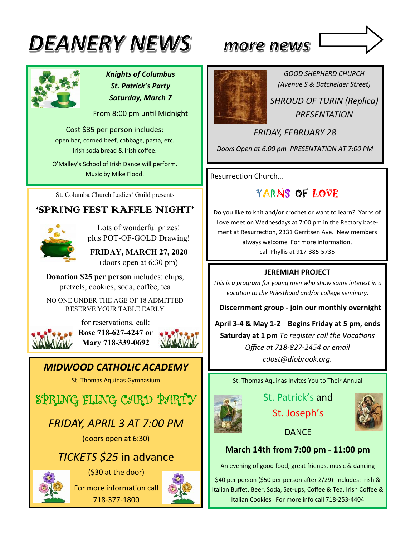# **DEANERY NEWS**



*Knights of Columbus St. Patrick's Party Saturday, March 7* 

From 8:00 pm unƟl Midnight

Cost \$35 per person includes: open bar, corned beef, cabbage, pasta, etc. Irish soda bread & Irish coffee.

O'Malley's School of Irish Dance will perform. Music by Mike Flood.

St. Columba Church Ladies' Guild presents

### 'SPRING FEST RAFFLE NIGHT'



Lots of wonderful prizes! plus POT-OF-GOLD Drawing!

**FRIDAY, MARCH 27, 2020**  (doors open at 6:30 pm)

**Donation \$25 per person** includes: chips, pretzels, cookies, soda, coffee, tea

NO ONE UNDER THE AGE OF 18 ADMITTED RESERVE YOUR TABLE EARLY



for reservations, call: **Rose 718-627-4247 or Mary 718-339-0692**

### *MIDWOOD CATHOLIC ACADEMY*

St. Thomas Aquinas Gymnasium

SPRING FLING CARD PARTY

### *FRIDAY, APRIL 3 AT 7:00 PM*

(doors open at 6:30)

### *TICKETS \$25* in advance



(\$30 at the door) For more information call

718-377-1800





*GOOD SHEPHERD CHURCH (Avenue S & Batchelder Street) SHROUD OF TURIN (Replica)* 

*PRESENTATION* 

*FRIDAY, FEBRUARY 28* 

*Doors Open at 6:00 pm PRESENTATION AT 7:00 PM* 

Resurrection Church...

### YARNS OF LOVE

Do you like to knit and/or crochet or want to learn? Yarns of Love meet on Wednesdays at 7:00 pm in the Rectory basement at Resurrection, 2331 Gerritsen Ave. New members always welcome For more information, call Phyllis at 917-385-5735

#### **JEREMIAH PROJECT**

*This is a program for young men who show some interest in a vocaƟon to the Priesthood and/or college seminary.* 

 **Discernment group ‐ join our monthly overnight** 

**April 3‐4 & May 1‐2 Begins Friday at 5 pm, ends Saturday at 1 pm** *To register call the Vocations Office at 718‐827‐2454 or email cdost@diobrook.org.* 

St. Thomas Aquinas Invites You to Their Annual

St. Patrick's and St. Joseph's



**DANCE** 

#### **March 14th from 7:00 pm ‐ 11:00 pm**

An evening of good food, great friends, music & dancing

\$40 per person (\$50 per person after 2/29) includes: Irish & Italian Buffet, Beer, Soda, Set-ups, Coffee & Tea, Irish Coffee & Italian Cookies For more info call 718-253-4404